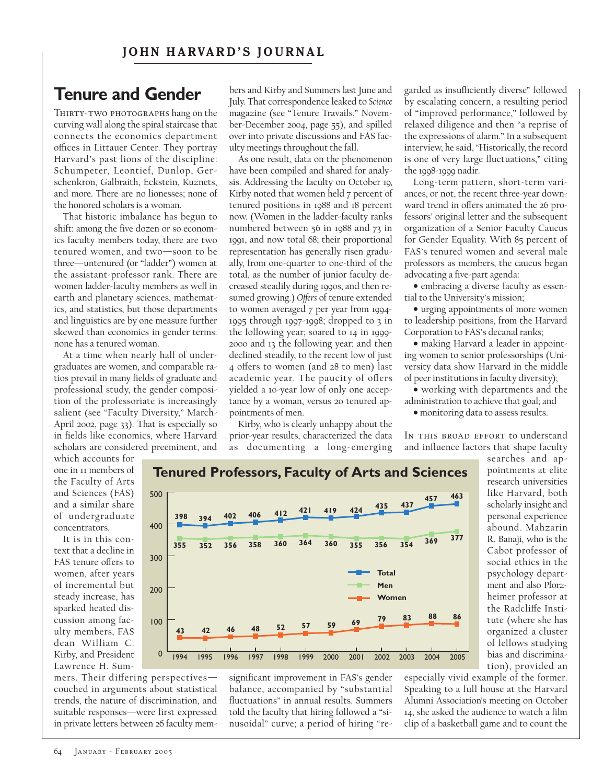# **Tenure and Gender**

THIRTY-TWO PHOTOGRAPHS hang on the curving wall along the spiral staircase that connects the economics department offices in Littauer Center. They portray Harvard's past lions of the discipline: Schumpeter, Leontief, Dunlop, Gerschenkron, Galbraith, Eckstein, Kuznets, and more. There are no lionesses; none of the honored scholars is a woman.

That historic imbalance has begun to shift: among the five dozen or so economics faculty members today, there are two tenured women, and two—soon to be three—untenured (or "ladder") women at the assistant-professor rank. There are women ladder-faculty members as well in earth and planetary sciences, mathematics, and statistics, but those departments and linguistics are by one measure further skewed than economics in gender terms: none has a tenured woman.

At a time when nearly half of undergraduates are women, and comparable ratios prevail in many fields of graduate and professional study, the gender composition of the professoriate is increasingly salient (see "Faculty Diversity," March-April 2002, page 33). That is especially so in fields like economics, where Harvard scholars are considered preeminent, and

bers and Kirby and Summers last June and July. That correspondence leaked to *Science* magazine (see "Tenure Travails," November-December 2004, page 55), and spilled over into private discussions and FAS faculty meetings throughout the fall.

As one result, data on the phenomenon have been compiled and shared for analysis. Addressing the faculty on October 19, Kirby noted that women held 7 percent of tenured positions in 1988 and 18 percent now. (Women in the ladder-faculty ranks numbered between 56 in 1988 and 73 in 1991, and now total 68; their proportional representation has generally risen gradually, from one-quarter to one-third of the total, as the number of junior faculty decreased steadily during 1990s, and then resumed growing.) Offers of tenure extended to women averaged 7 per year from 1994- 1995 through 1997-1998; dropped to 3 in the following year; soared to 14 in 1999- 2000 and 13 the following year; and then declined steadily, to the recent low of just 4 offers to women (and 28 to men) last academic year. The paucity of offers yielded a 10-year low of only one acceptance by a woman, versus 20 tenured appointments of men.

Kirby, who is clearly unhappy about the prior-year results, characterized the data as documenting a long-emerging garded as insufficiently diverse" followed by escalating concern, a resulting period of "improved performance," followed by relaxed diligence and then "a reprise of the expressions of alarm." In a subsequent interview, he said, "Historically, the record is one of very large fluctuations," citing the 1998-1999 nadir.

Long-term pattern, short-term variances, or not, the recent three-year downward trend in offers animated the 26 professors' original letter and the subsequent organization of a Senior Faculty Caucus for Gender Equality. With 85 percent of FAS's tenured women and several male professors as members, the caucus began advocating a five-part agenda:

• embracing a diverse faculty as essential to the University's mission;

• urging appointments of more women to leadership positions, from the Harvard Corporation to FAS's decanal ranks;

• making Harvard a leader in appointing women to senior professorships (University data show Harvard in the middle of peer institutions in faculty diversity);

• working with departments and the administration to achieve that goal; and

• monitoring data to assess results.

IN THIS BROAD EFFORT to understand and influence factors that shape faculty

which accounts for one in 11 members of the Faculty of Arts and Sciences (FAS) and a similar share of undergraduate concentrators.

It is in this context that a decline in FAS tenure offers to women, after years of incremental but steady increase, has sparked heated discussion among faculty members, FAS dean William C. Kirby, and President Lawrence H. Sum-



mers. Their differing perspectivescouched in arguments about statistical trends, the nature of discrimination, and suitable responses—were first expressed in private letters between 26 faculty mem-

significant improvement in FAS's gender balance, accompanied by "substantial fluctuations" in annual results. Summers told the faculty that hiring followed a "sinusoidal" curve; a period of hiring "researches and appointments at elite research universities like Harvard, both scholarly insight and personal experience abound. Mahzarin R. Banaji, who is the Cabot professor of social ethics in the psychology department and also Pforzheimer professor at the Radcliffe Institute (where she has organized a cluster of fellows studying bias and discrimination), provided an

especially vivid example of the former. Speaking to a full house at the Harvard Alumni Association's meeting on October 14, she asked the audience to watch a film clip of a basketball game and to count the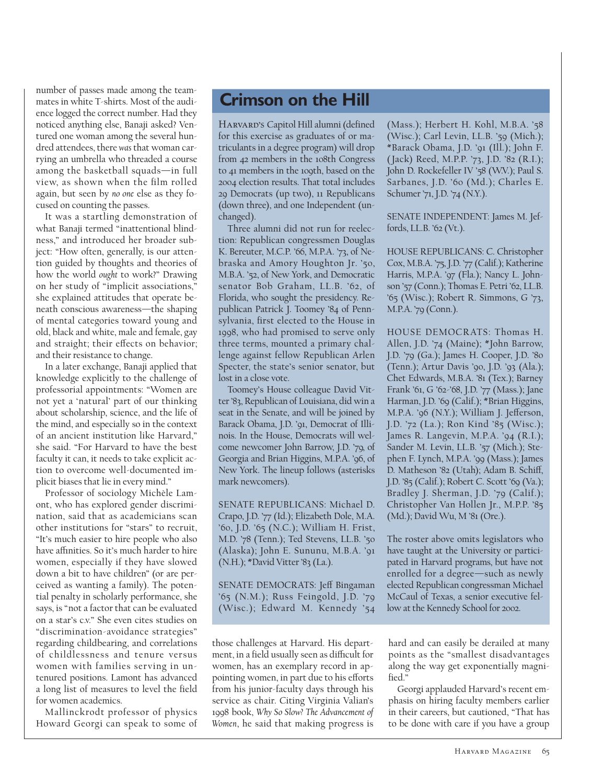number of passes made among the teammates in white T-shirts. Most of the audience logged the correct number. Had they noticed anything else, Banaji asked? Ventured one woman among the several hundred attendees, there *was* that woman carrying an umbrella who threaded a course among the basketball squads—in full view, as shown when the film rolled again, but seen by *no one* else as they focused on counting the passes.

It was a startling demonstration of what Banaji termed "inattentional blindness," and introduced her broader subject: "How often, generally, is our attention guided by thoughts and theories of how the world *ought* to work?" Drawing on her study of "implicit associations," she explained attitudes that operate beneath conscious awareness—the shaping of mental categories toward young and old, black and white, male and female, gay and straight; their effects on behavior; and their resistance to change.

In a later exchange, Banaji applied that knowledge explicitly to the challenge of professorial appointments: "Women are not yet a 'natural' part of our thinking about scholarship, science, and the life of the mind, and especially so in the context of an ancient institution like Harvard," she said. "For Harvard to have the best faculty it can, it needs to take explicit action to overcome well-documented implicit biases that lie in every mind."

Professor of sociology Michèle Lamont, who has explored gender discrimination, said that as academicians scan other institutions for "stars" to recruit, "It's much easier to hire people who also have affinities. So it's much harder to hire women, especially if they have slowed down a bit to have children" (or are perceived as wanting a family). The potential penalty in scholarly performance, she says, is "not a factor that can be evaluated on a star's c.v." She even cites studies on "discrimination-avoidance strategies" regarding childbearing, and correlations of childlessness and tenure versus women with families serving in untenured positions. Lamont has advanced a long list of measures to level the field for women academics.

Mallinckrodt professor of physics Howard Georgi can speak to some of

## **Crimson on the Hill**

Harvard's Capitol Hill alumni (defined for this exercise as graduates of or matriculants in a degree program) will drop from 42 members in the 108th Congress to 41 members in the 109th, based on the 2004 election results. That total includes 29 Democrats (up two), 11 Republicans (down three), and one Independent (unchanged).

Three alumni did not run for reelection: Republican congressmen Douglas K. Bereuter, M.C.P. '66, M.P.A. '73, of Nebraska and Amory Houghton Jr. '50, M.B.A. '52, of New York, and Democratic senator Bob Graham, LL.B. '62, of Florida, who sought the presidency. Republican Patrick J. Toomey '84 of Pennsylvania, first elected to the House in 1998, who had promised to serve only three terms, mounted a primary challenge against fellow Republican Arlen Specter, the state's senior senator, but lost in a close vote.

Toomey's House colleague David Vitter '83, Republican of Louisiana, did win a seat in the Senate, and will be joined by Barack Obama, J.D. '91, Democrat of Illinois. In the House, Democrats will welcome newcomer John Barrow, J.D. '79, of Georgia and Brian Higgins, M.P.A. '96, of New York. The lineup follows (asterisks mark newcomers).

SENATE REPUBLICANS: Michael D. Crapo, J.D. '77 (Id.); Elizabeth Dole, M.A. '60, J.D. '65 (N.C.); William H. Frist, M.D. '78 (Tenn.); Ted Stevens, LL.B. '50 (Alaska); John E. Sununu, M.B.A. '91 (N.H.); \*David Vitter '83 (La.).

SENATE DEMOCRATS: Jeff Bingaman '65 (N.M.); Russ Feingold, J.D. '79 (Wisc.); Edward M. Kennedy '54

those challenges at Harvard. His department, in a field usually seen as difficult for women, has an exemplary record in appointing women, in part due to his efforts from his junior-faculty days through his service as chair. Citing Virginia Valian's 1998 book, *Why So Slow? The Advancement of Women*, he said that making progress is

(Mass.); Herbert H. Kohl, M.B.A. '58 (Wisc.); Carl Levin, LL.B. '59 (Mich.); \*Barack Obama, J.D. '91 (Ill.); John F. ( Jack) Reed, M.P.P. '73, J.D. '82 (R.I.); John D. Rockefeller IV '58 (W.V.); Paul S. Sarbanes, J.D. '60 (Md.); Charles E. Schumer '71, J.D. '74 (N.Y.).

SENATE INDEPENDENT: James M. Jeffords, LL.B. '62 (Vt.).

HOUSE REPUBLICANS: C. Christopher Cox, M.B.A. '75, J.D. '77 (Calif.); Katherine Harris, M.P.A. '97 (Fla.); Nancy L. Johnson '57 (Conn.); Thomas E. Petri '62, LL.B. '65 (Wisc.); Robert R. Simmons, G '73, M.P.A. '79 (Conn.).

HOUSE DEMOCRATS: Thomas H. Allen, J.D. '74 (Maine); \*John Barrow, J.D. '79 (Ga.); James H. Cooper, J.D. '80 (Tenn.); Artur Davis '90, J.D. '93 (Ala.); Chet Edwards, M.B.A. '81 (Tex.); Barney Frank '61, G '62-'68, J.D. '77 (Mass.); Jane Harman, J.D. '69 (Calif.); \*Brian Higgins, M.P.A. '96 (N.Y.); William J. Jefferson, J.D. '72 (La.); Ron Kind '85 (Wisc.); James R. Langevin, M.P.A. '94 (R.I.); Sander M. Levin, LL.B. '57 (Mich.); Stephen F. Lynch, M.P.A. '99 (Mass.); James D. Matheson '82 (Utah); Adam B. Schiff, J.D. '85 (Calif.); Robert C. Scott '69 (Va.); Bradley J. Sherman, J.D. '79 (Calif.); Christopher Van Hollen Jr., M.P.P. '85 (Md.); David Wu, M '81 (Ore.).

The roster above omits legislators who have taught at the University or participated in Harvard programs, but have not enrolled for a degree—such as newly elected Republican congressman Michael McCaul of Texas, a senior executive fellow at the Kennedy School for 2002.

hard and can easily be derailed at many points as the "smallest disadvantages along the way get exponentially magnified."

Georgi applauded Harvard's recent emphasis on hiring faculty members earlier in their careers, but cautioned, "That has to be done with care if you have a group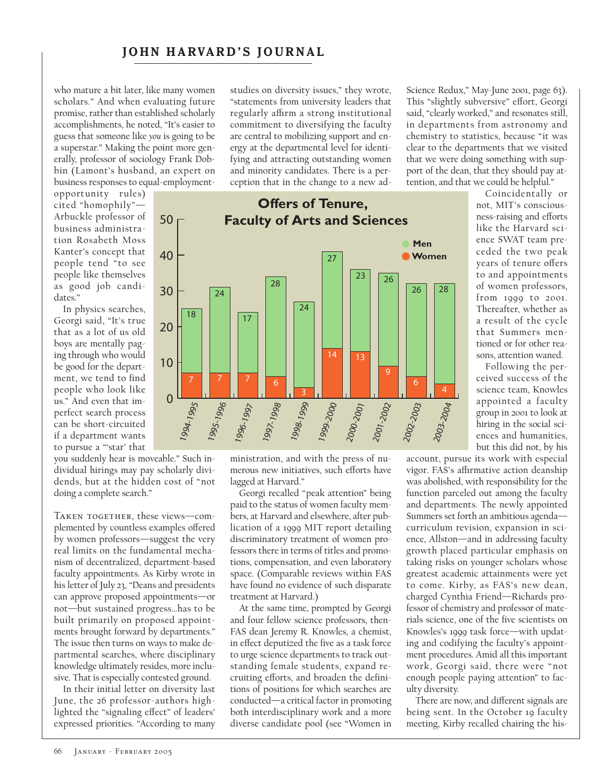#### **JOHN HARVARD'S JOURNAL**

who mature a bit later, like many women scholars." And when evaluating future promise, rather than established scholarly accomplishments, he noted, "It's easier to guess that someone like *you* is going to be a superstar." Making the point more generally, professor of sociology Frank Dobbin (Lamont's husband, an expert on business responses to equal-employment-

opportunity rules) cited "homophily"— Arbuckle professor of business administration Rosabeth Moss Kanter's concept that people tend " to see people like themselves as good job candidates."

In physics searches, Georgi said, "It's true that as a lot of us old boys are mentally paging through who would be good for the department, we tend to find people who look like us." And even that imperfect search process can be short-circuited if a department wants to pursue a "'star' that

you suddenly hear is moveable." Such individual hirings may pay scholarly dividends, but at the hidden cost of "not doing a complete search."

TAKEN TOGETHER, these views-complemented by countless examples offered by women professors—suggest the very real limits on the fundamental mechanism of decentralized, department-based faculty appointments. As Kirby wrote in his letter of July 23, "Deans and presidents can approve proposed appointments—or not—but sustained progress…has to be built primarily on proposed appointments brought forward by departments." The issue then turns on ways to make departmental searches, where disciplinary knowledge ultimately resides, more inclusive. That is especially contested ground.

In their initial letter on diversity last June, the 26 professor-authors highlighted the "signaling effect" of leaders' expressed priorities. "According to many studies on diversity issues," they wrote, "statements from university leaders that regularly affirm a strong institutional commitment to diversifying the faculty are central to mobilizing support and energy at the departmental level for identifying and attracting outstanding women and minority candidates. There is a perception that in the change to a new ad-



ministration, and with the press of numerous new initiatives, such efforts have lagged at Harvard."

Georgi recalled "peak attention" being paid to the status of women faculty members, at Harvard and elsewhere, after publication of a 1999 MIT report detailing discriminatory treatment of women professors there in terms of titles and promotions, compensation, and even laboratory space. (Comparable reviews within FAS have found no evidence of such disparate treatment at Harvard.)

At the same time, prompted by Georgi and four fellow science professors, then-FAS dean Jeremy R. Knowles, a chemist, in effect deputized the five as a task force to urge science departments to track outstanding female students, expand recruiting efforts, and broaden the definitions of positions for which searches are conducted—a critical factor in promoting both interdisciplinary work and a more diverse candidate pool (see "Women in

Science Redux," May-June 2001, page 63). This "slightly subversive" effort, Georgi said, "clearly worked," and resonates still, in departments from astronomy and chemistry to statistics, because "it was clear to the departments that we visited that we were doing something with support of the dean, that they should pay attention, and that we could be helpful."

> Coincidentally or not, MIT's consciousness-raising and efforts like the Harvard science SWAT team preceded the two peak years of tenure offers to and appointments of women professors, from 1999 to 2001. Thereafter, whether as a result of the cycle that Summers mentioned or for other reasons, attention waned.

> Following the perceived success of the science team, Knowles appointed a faculty group in 2001 to look at hiring in the social sciences and humanities, but this did not, by his

account, pursue its work with especial vigor. FAS's affirmative action deanship was abolished, with responsibility for the function parceled out among the faculty and departments. The newly appointed Summers set forth an ambitious agenda curriculum revision, expansion in science, Allston—and in addressing faculty growth placed particular emphasis on taking risks on younger scholars whose greatest academic attainments were yet to come. Kirby, as FAS's new dean, charged Cynthia Friend—Richards professor of chemistry and professor of materials science, one of the five scientists on Knowles's 1999 task force—with updating and codifying the faculty's appointment procedures. Amid all this important work, Georgi said, there were " not enough people paying attention" to faculty diversity.

There are now, and different signals are being sent. In the October 19 faculty meeting, Kirby recalled chairing the his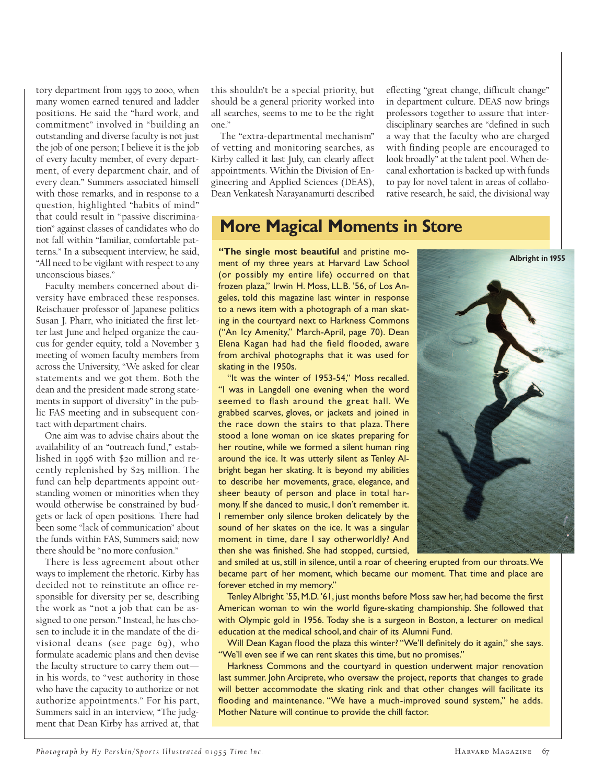tory department from 1995 to 2000, when many women earned tenured and ladder positions. He said the "hard work, and commitment" involved in "building an outstanding and diverse faculty is not just the job of one person; I believe it is the job of every faculty member, of every department, of every department chair, and of every dean." Summers associated himself with those remarks, and in response to a question, highlighted "habits of mind" that could result in "passive discrimination" against classes of candidates who do not fall within "familiar, comfortable patterns." In a subsequent interview, he said, "All need to be vigilant with respect to any unconscious biases."

Faculty members concerned about diversity have embraced these responses. Reischauer professor of Japanese politics Susan J. Pharr, who initiated the first letter last June and helped organize the caucus for gender equity, told a November 3 meeting of women faculty members from across the University, "We asked for clear statements and we got them. Both the dean and the president made strong statements in support of diversity" in the public FAS meeting and in subsequent contact with department chairs.

One aim was to advise chairs about the availability of an "outreach fund," established in 1996 with \$20 million and recently replenished by \$25 million. The fund can help departments appoint outstanding women or minorities when they would otherwise be constrained by budgets or lack of open positions. There had been some "lack of communication" about the funds within FAS, Summers said; now there should be "no more confusion."

There is less agreement about other ways to implement the rhetoric. Kirby has decided not to reinstitute an office responsible for diversity per se, describing the work as "not a job that can be assigned to one person." Instead, he has chosen to include it in the mandate of the divisional deans (see page 69), who formulate academic plans and then devise the faculty structure to carry them out in his words, to "vest authority in those who have the capacity to authorize or not authorize appointments." For his part, Summers said in an interview, "The judgment that Dean Kirby has arrived at, that this shouldn't be a special priority, but should be a general priority worked into all searches, seems to me to be the right one."

The "extra-departmental mechanism" of vetting and monitoring searches, as Kirby called it last July, can clearly affect appointments. Within the Division of Engineering and Applied Sciences (DEAS), Dean Venkatesh Narayanamurti described effecting "great change, difficult change" in department culture. DEAS now brings professors together to assure that interdisciplinary searches are "defined in such a way that the faculty who are charged with finding people are encouraged to look broadly" at the talent pool. When decanal exhortation is backed up with funds to pay for novel talent in areas of collaborative research, he said, the divisional way

### **More Magical Moments in Store**

**"The single most beautiful** and pristine moment of my three years at Harvard Law School (or possibly my entire life) occurred on that frozen plaza," Irwin H. Moss, LL.B. '56, of Los Angeles, told this magazine last winter in response to a news item with a photograph of a man skating in the courtyard next to Harkness Commons ("An Icy Amenity," March-April, page 70). Dean Elena Kagan had had the field flooded, aware from archival photographs that it was used for skating in the 1950s.

"It was the winter of 1953-54," Moss recalled. "I was in Langdell one evening when the word seemed to flash around the great hall. We grabbed scarves, gloves, or jackets and joined in the race down the stairs to that plaza. There stood a lone woman on ice skates preparing for her routine, while we formed a silent human ring around the ice. It was utterly silent as Tenley Albright began her skating. It is beyond my abilities to describe her movements, grace, elegance, and sheer beauty of person and place in total harmony. If she danced to music, I don't remember it. I remember only silence broken delicately by the sound of her skates on the ice. It was a singular moment in time, dare I say otherworldly? And then she was finished. She had stopped, curtsied,



and smiled at us, still in silence, until a roar of cheering erupted from our throats.We became part of her moment, which became our moment. That time and place are forever etched in my memory."

Tenley Albright '55, M.D. '61, just months before Moss saw her, had become the first American woman to win the world figure-skating championship. She followed that with Olympic gold in 1956. Today she is a surgeon in Boston, a lecturer on medical education at the medical school, and chair of its Alumni Fund.

Will Dean Kagan flood the plaza this winter? "We'll definitely do it again," she says. "We'll even see if we can rent skates this time, but no promises."

Harkness Commons and the courtyard in question underwent major renovation last summer. John Arciprete, who oversaw the project, reports that changes to grade will better accommodate the skating rink and that other changes will facilitate its flooding and maintenance. "We have a much-improved sound system," he adds. Mother Nature will continue to provide the chill factor.